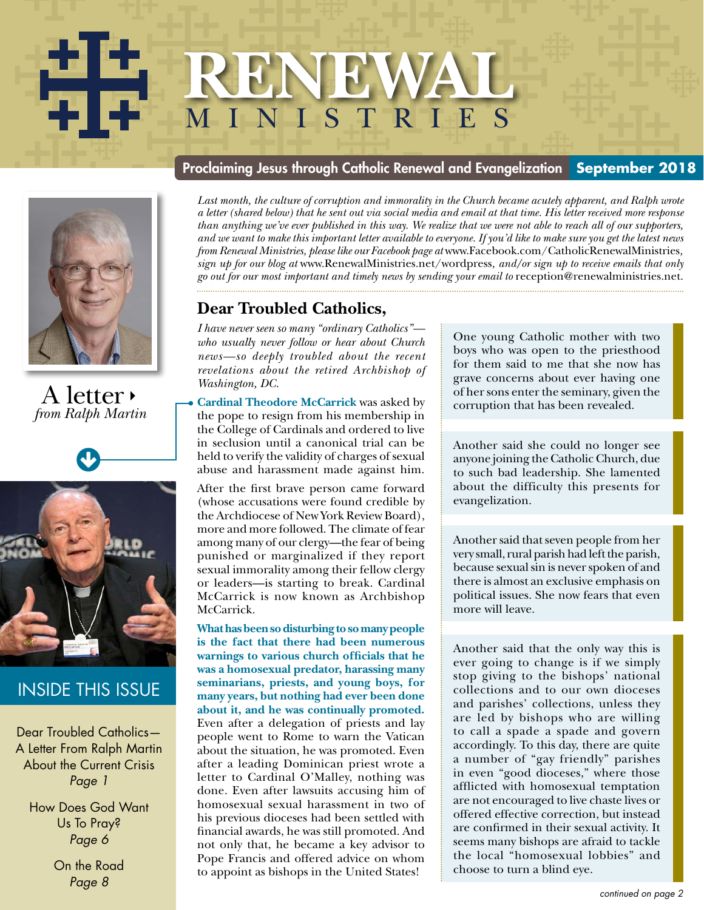# **RENEWAL** MINISTRIES **RENEWAL** m i n i s t r i e s



## A letter *from Ralph Martin*



# INSIDE THIS ISSUE

Dear Troubled Catholics— A Letter From Ralph Martin About the Current Crisis *Page 1*

How Does God Want Us To Pray? *Page 6*

> On the Road *Page 8*

### Proclaiming Jesus through Catholic Renewal and Evangelization **September 2018**

Last month, the culture of corruption and immorality in the Church became acutely apparent, and Ralph wrote *a letter (shared below) that he sent out via social media and email at that time. His letter received more response than anything we've ever published in this way. We realize that we were not able to reach all of our supporters, and we want to make this important letter available to everyone. If you'd like to make sure you get the latest news from Renewal Ministries, please like our Facebook page at* www.Facebook.com/CatholicRenewalMinistries*, sign up for our blog at* www.RenewalMinistries.net/wordpress*, and/or sign up to receive emails that only go out for our most important and timely news by sending your email to* reception@renewalministries.net.

## **Dear Troubled Catholics,**

*I have never seen so many "ordinary Catholics" who usually never follow or hear about Church news—so deeply troubled about the recent revelations about the retired Archbishop of Washington, DC.* 

**Cardinal Theodore McCarrick** was asked by the pope to resign from his membership in the College of Cardinals and ordered to live in seclusion until a canonical trial can be held to verify the validity of charges of sexual abuse and harassment made against him.

After the first brave person came forward (whose accusations were found credible by the Archdiocese of New York Review Board), more and more followed. The climate of fear among many of our clergy—the fear of being punished or marginalized if they report sexual immorality among their fellow clergy or leaders—is starting to break. Cardinal McCarrick is now known as Archbishop McCarrick.

**What has been so disturbing to so many people is the fact that there had been numerous warnings to various church officials that he was a homosexual predator, harassing many seminarians, priests, and young boys, for many years, but nothing had ever been done about it, and he was continually promoted.** Even after a delegation of priests and lay people went to Rome to warn the Vatican about the situation, he was promoted. Even after a leading Dominican priest wrote a letter to Cardinal O'Malley, nothing was done. Even after lawsuits accusing him of homosexual sexual harassment in two of his previous dioceses had been settled with financial awards, he was still promoted. And not only that, he became a key advisor to Pope Francis and offered advice on whom to appoint as bishops in the United States!

One young Catholic mother with two boys who was open to the priesthood for them said to me that she now has grave concerns about ever having one of her sons enter the seminary, given the corruption that has been revealed.

Another said she could no longer see anyone joining the Catholic Church, due to such bad leadership. She lamented about the difficulty this presents for evangelization.

Another said that seven people from her very small, rural parish had left the parish, because sexual sin is never spoken of and there is almost an exclusive emphasis on political issues. She now fears that even more will leave.

Another said that the only way this is ever going to change is if we simply stop giving to the bishops' national collections and to our own dioceses and parishes' collections, unless they are led by bishops who are willing to call a spade a spade and govern accordingly. To this day, there are quite a number of "gay friendly" parishes in even "good dioceses," where those afflicted with homosexual temptation are not encouraged to live chaste lives or offered effective correction, but instead are confirmed in their sexual activity. It seems many bishops are afraid to tackle the local "homosexual lobbies" and choose to turn a blind eye.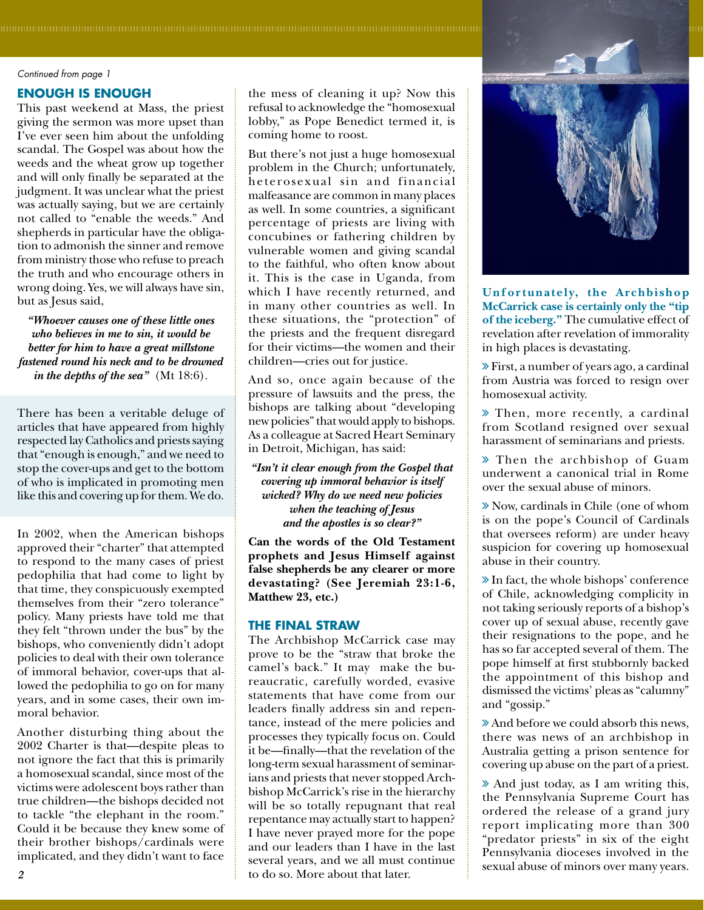#### *Continued from page 1*

#### **ENOUGH IS ENOUGH**

This past weekend at Mass, the priest giving the sermon was more upset than I've ever seen him about the unfolding scandal. The Gospel was about how the weeds and the wheat grow up together and will only finally be separated at the judgment. It was unclear what the priest was actually saying, but we are certainly not called to "enable the weeds." And shepherds in particular have the obligation to admonish the sinner and remove from ministry those who refuse to preach the truth and who encourage others in wrong doing. Yes, we will always have sin, but as Jesus said,

*"Whoever causes one of these little ones who believes in me to sin, it would be better for him to have a great millstone fastened round his neck and to be drowned in the depths of the sea"* (Mt 18:6).

There has been a veritable deluge of articles that have appeared from highly respected lay Catholics and priests saying that "enough is enough," and we need to stop the cover-ups and get to the bottom of who is implicated in promoting men like this and covering up for them. We do.

In 2002, when the American bishops approved their "charter" that attempted to respond to the many cases of priest pedophilia that had come to light by that time, they conspicuously exempted themselves from their "zero tolerance" policy. Many priests have told me that they felt "thrown under the bus" by the bishops, who conveniently didn't adopt policies to deal with their own tolerance of immoral behavior, cover-ups that allowed the pedophilia to go on for many years, and in some cases, their own immoral behavior.

Another disturbing thing about the 2002 Charter is that—despite pleas to not ignore the fact that this is primarily a homosexual scandal, since most of the victims were adolescent boys rather than true children—the bishops decided not to tackle "the elephant in the room." Could it be because they knew some of their brother bishops/cardinals were implicated, and they didn't want to face

the mess of cleaning it up? Now this refusal to acknowledge the "homosexual lobby," as Pope Benedict termed it, is coming home to roost.

But there's not just a huge homosexual problem in the Church; unfortunately, heterosexual sin and financial malfeasance are common in many places as well. In some countries, a significant percentage of priests are living with concubines or fathering children by vulnerable women and giving scandal to the faithful, who often know about it. This is the case in Uganda, from which I have recently returned, and in many other countries as well. In these situations, the "protection" of the priests and the frequent disregard for their victims—the women and their children—cries out for justice.

And so, once again because of the pressure of lawsuits and the press, the bishops are talking about "developing new policies" that would apply to bishops. As a colleague at Sacred Heart Seminary in Detroit, Michigan, has said:

*"Isn't it clear enough from the Gospel that covering up immoral behavior is itself wicked? Why do we need new policies when the teaching of Jesus and the apostles is so clear?"* 

**Can the words of the Old Testament prophets and Jesus Himself against false shepherds be any clearer or more devastating? (See Jeremiah 23:1-6, Matthew 23, etc.)**

#### **THE FINAL STRAW**

The Archbishop McCarrick case may prove to be the "straw that broke the camel's back." It may make the bureaucratic, carefully worded, evasive statements that have come from our leaders finally address sin and repentance, instead of the mere policies and processes they typically focus on. Could it be—finally—that the revelation of the long-term sexual harassment of seminarians and priests that never stopped Archbishop McCarrick's rise in the hierarchy will be so totally repugnant that real repentance may actually start to happen? I have never prayed more for the pope and our leaders than I have in the last several years, and we all must continue to do so. More about that later. several years, and we all must continue<br>abuse of minors over many years.<br>
2



**Unfor tunately, the Archbishop McCarrick case is certainly only the "tip of the iceberg."** The cumulative effect of revelation after revelation of immorality in high places is devastating.

 First, a number of years ago, a cardinal from Austria was forced to resign over homosexual activity.

 Then, more recently, a cardinal from Scotland resigned over sexual harassment of seminarians and priests.

 Then the archbishop of Guam underwent a canonical trial in Rome over the sexual abuse of minors.

 Now, cardinals in Chile (one of whom is on the pope's Council of Cardinals that oversees reform) are under heavy suspicion for covering up homosexual abuse in their country.

 In fact, the whole bishops' conference of Chile, acknowledging complicity in not taking seriously reports of a bishop's cover up of sexual abuse, recently gave their resignations to the pope, and he has so far accepted several of them. The pope himself at first stubbornly backed the appointment of this bishop and dismissed the victims' pleas as "calumny" and "gossip."

 And before we could absorb this news, there was news of an archbishop in Australia getting a prison sentence for covering up abuse on the part of a priest.

 And just today, as I am writing this, the Pennsylvania Supreme Court has ordered the release of a grand jury report implicating more than 300 "predator priests" in six of the eight Pennsylvania dioceses involved in the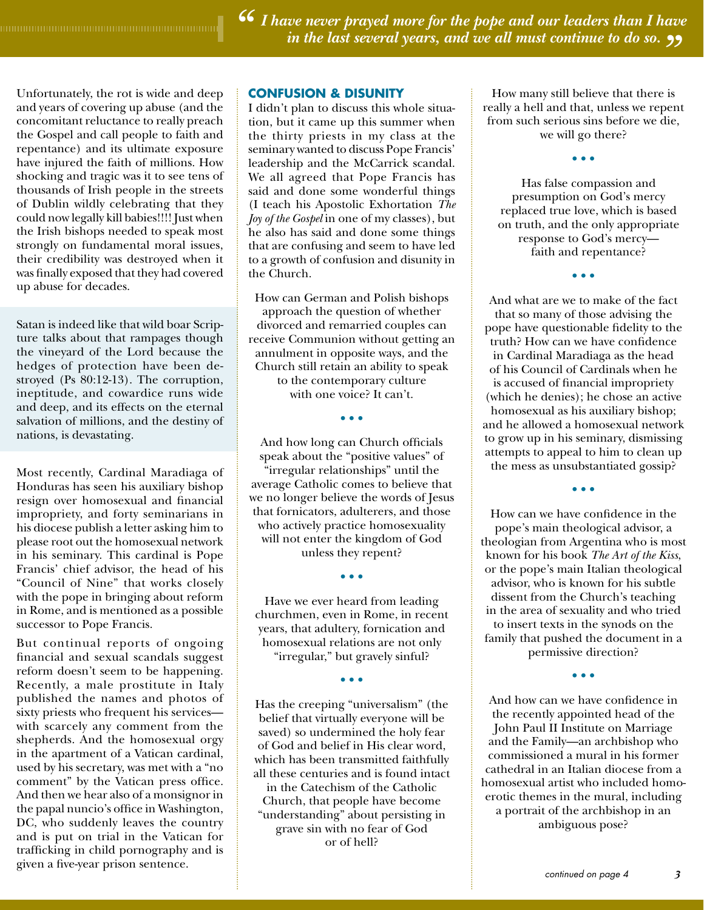*I have never prayed more for the pope and our leaders than I have " in the last several years, and we all must continue to do so."*

Unfortunately, the rot is wide and deep and years of covering up abuse (and the concomitant reluctance to really preach the Gospel and call people to faith and repentance) and its ultimate exposure have injured the faith of millions. How shocking and tragic was it to see tens of thousands of Irish people in the streets of Dublin wildly celebrating that they could now legally kill babies!!!! Just when the Irish bishops needed to speak most strongly on fundamental moral issues, their credibility was destroyed when it was finally exposed that they had covered up abuse for decades.

Satan is indeed like that wild boar Scripture talks about that rampages though the vineyard of the Lord because the hedges of protection have been destroyed (Ps 80:12-13). The corruption, ineptitude, and cowardice runs wide and deep, and its effects on the eternal salvation of millions, and the destiny of nations, is devastating.

Most recently, Cardinal Maradiaga of Honduras has seen his auxiliary bishop resign over homosexual and financial impropriety, and forty seminarians in his diocese publish a letter asking him to please root out the homosexual network in his seminary. This cardinal is Pope Francis' chief advisor, the head of his "Council of Nine" that works closely with the pope in bringing about reform in Rome, and is mentioned as a possible successor to Pope Francis.

But continual reports of ongoing financial and sexual scandals suggest reform doesn't seem to be happening. Recently, a male prostitute in Italy published the names and photos of sixty priests who frequent his services with scarcely any comment from the shepherds. And the homosexual orgy in the apartment of a Vatican cardinal, used by his secretary, was met with a "no comment" by the Vatican press office. And then we hear also of a monsignor in the papal nuncio's office in Washington, DC, who suddenly leaves the country and is put on trial in the Vatican for trafficking in child pornography and is given a five-year prison sentence. **continued on page 4** continued on page 4

#### **CONFUSION & DISUNITY**

I didn't plan to discuss this whole situation, but it came up this summer when the thirty priests in my class at the seminary wanted to discuss Pope Francis' leadership and the McCarrick scandal. We all agreed that Pope Francis has said and done some wonderful things (I teach his Apostolic Exhortation *The Joy of the Gospel* in one of my classes), but he also has said and done some things that are confusing and seem to have led to a growth of confusion and disunity in the Church.

How can German and Polish bishops approach the question of whether divorced and remarried couples can receive Communion without getting an annulment in opposite ways, and the Church still retain an ability to speak to the contemporary culture with one voice? It can't.

• • •

And how long can Church officials speak about the "positive values" of "irregular relationships" until the average Catholic comes to believe that we no longer believe the words of Jesus that fornicators, adulterers, and those who actively practice homosexuality will not enter the kingdom of God unless they repent?

Have we ever heard from leading churchmen, even in Rome, in recent years, that adultery, fornication and homosexual relations are not only "irregular," but gravely sinful?

• • •

• • •

Has the creeping "universalism" (the belief that virtually everyone will be saved) so undermined the holy fear of God and belief in His clear word, which has been transmitted faithfully all these centuries and is found intact in the Catechism of the Catholic Church, that people have become "understanding" about persisting in grave sin with no fear of God or of hell?

How many still believe that there is really a hell and that, unless we repent from such serious sins before we die, we will go there?

• • •

Has false compassion and presumption on God's mercy replaced true love, which is based on truth, and the only appropriate response to God's mercy faith and repentance?

• • •

And what are we to make of the fact that so many of those advising the pope have questionable fidelity to the truth? How can we have confidence in Cardinal Maradiaga as the head of his Council of Cardinals when he is accused of financial impropriety (which he denies); he chose an active homosexual as his auxiliary bishop; and he allowed a homosexual network to grow up in his seminary, dismissing attempts to appeal to him to clean up the mess as unsubstantiated gossip?

How can we have confidence in the pope's main theological advisor, a theologian from Argentina who is most known for his book *The Art of the Kiss*, or the pope's main Italian theological advisor, who is known for his subtle dissent from the Church's teaching in the area of sexuality and who tried to insert texts in the synods on the family that pushed the document in a permissive direction?

• • •

• • •

And how can we have confidence in the recently appointed head of the John Paul II Institute on Marriage and the Family—an archbishop who commissioned a mural in his former cathedral in an Italian diocese from a homosexual artist who included homoerotic themes in the mural, including a portrait of the archbishop in an ambiguous pose?

*3*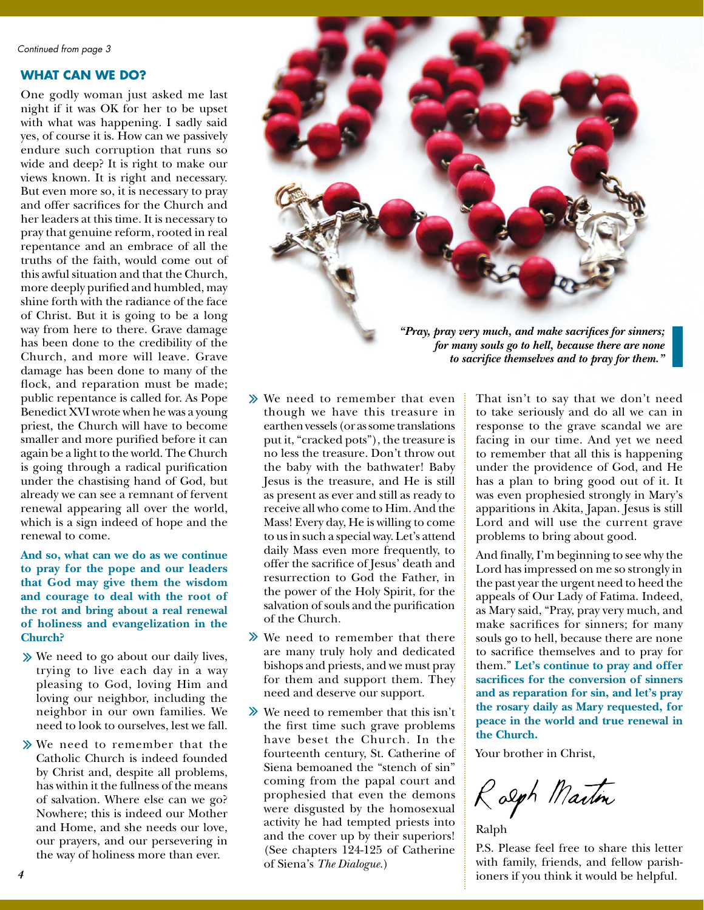### **WHAT CAN WE DO?**

One godly woman just asked me last night if it was OK for her to be upset with what was happening. I sadly said yes, of course it is. How can we passively endure such corruption that runs so wide and deep? It is right to make our views known. It is right and necessary. But even more so, it is necessary to pray and offer sacrifices for the Church and her leaders at this time. It is necessary to pray that genuine reform, rooted in real repentance and an embrace of all the truths of the faith, would come out of this awful situation and that the Church, more deeply purified and humbled, may shine forth with the radiance of the face of Christ. But it is going to be a long way from here to there. Grave damage has been done to the credibility of the Church, and more will leave. Grave damage has been done to many of the flock, and reparation must be made; public repentance is called for. As Pope Benedict XVI wrote when he was a young priest, the Church will have to become smaller and more purified before it can again be a light to the world. The Church is going through a radical purification under the chastising hand of God, but already we can see a remnant of fervent renewal appearing all over the world, which is a sign indeed of hope and the renewal to come.

**And so, what can we do as we continue to pray for the pope and our leaders that God may give them the wisdom and courage to deal with the root of the rot and bring about a real renewal of holiness and evangelization in the Church?**

- We need to go about our daily lives, trying to live each day in a way pleasing to God, loving Him and loving our neighbor, including the neighbor in our own families. We need to look to ourselves, lest we fall.
- We need to remember that the Catholic Church is indeed founded by Christ and, despite all problems, has within it the fullness of the means of salvation. Where else can we go? Nowhere; this is indeed our Mother and Home, and she needs our love, our prayers, and our persevering in the way of holiness more than ever.



*for many souls go to hell, because there are none to sacrifice themselves and to pray for them."*

- We need to remember that even though we have this treasure in earthen vessels (or as some translations put it, "cracked pots"), the treasure is no less the treasure. Don't throw out the baby with the bathwater! Baby Jesus is the treasure, and He is still as present as ever and still as ready to receive all who come to Him. And the Mass! Every day, He is willing to come to us in such a special way. Let's attend daily Mass even more frequently, to offer the sacrifice of Jesus' death and resurrection to God the Father, in the power of the Holy Spirit, for the salvation of souls and the purification of the Church.
- $\gg$  We need to remember that there are many truly holy and dedicated bishops and priests, and we must pray for them and support them. They need and deserve our support.
- We need to remember that this isn't the first time such grave problems have beset the Church. In the fourteenth century, St. Catherine of Siena bemoaned the "stench of sin" coming from the papal court and prophesied that even the demons were disgusted by the homosexual activity he had tempted priests into and the cover up by their superiors! (See chapters 124-125 of Catherine of Siena's *The Dialogue.*)

That isn't to say that we don't need to take seriously and do all we can in response to the grave scandal we are facing in our time. And yet we need to remember that all this is happening under the providence of God, and He has a plan to bring good out of it. It was even prophesied strongly in Mary's apparitions in Akita, Japan. Jesus is still Lord and will use the current grave problems to bring about good.

And finally, I'm beginning to see why the Lord has impressed on me so strongly in the past year the urgent need to heed the appeals of Our Lady of Fatima. Indeed, as Mary said, "Pray, pray very much, and make sacrifices for sinners; for many souls go to hell, because there are none to sacrifice themselves and to pray for them." **Let's continue to pray and offer sacrifices for the conversion of sinners and as reparation for sin, and let's pray the rosary daily as Mary requested, for peace in the world and true renewal in the Church.**

Your brother in Christ,

Ralph Martin

Ralph

P.S. Please feel free to share this letter with family, friends, and fellow parishioners if you think it would be helpful.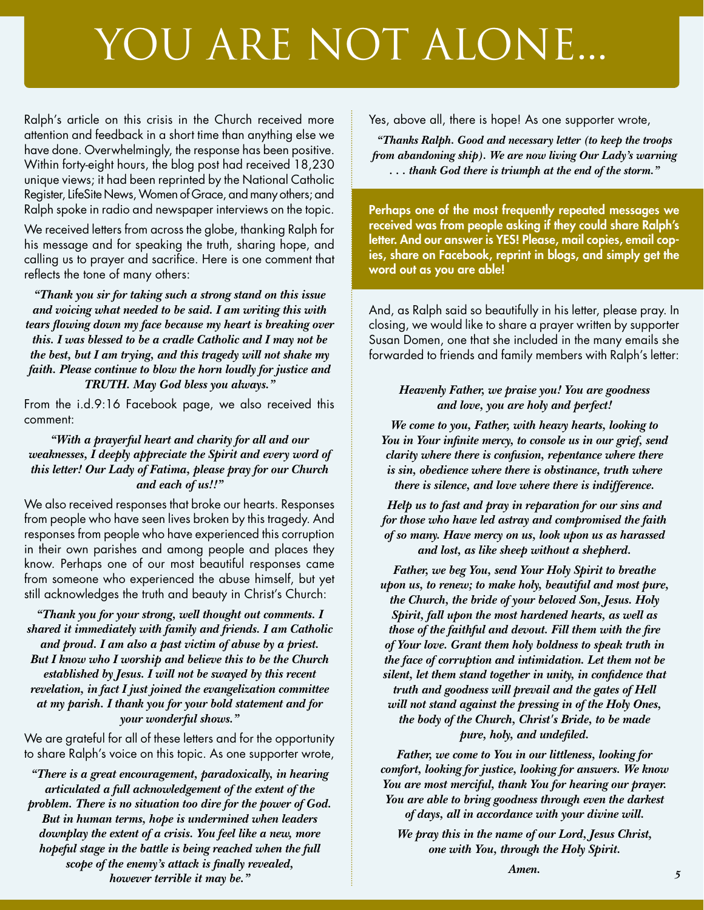# YOU ARE NOT ALONE...

Ralph's article on this crisis in the Church received more attention and feedback in a short time than anything else we have done. Overwhelmingly, the response has been positive. Within forty-eight hours, the blog post had received 18,230 unique views; it had been reprinted by the National Catholic Register, LifeSite News, Women of Grace, and many others; and Ralph spoke in radio and newspaper interviews on the topic.

We received letters from across the globe, thanking Ralph for his message and for speaking the truth, sharing hope, and calling us to prayer and sacrifice. Here is one comment that reflects the tone of many others:

*"Thank you sir for taking such a strong stand on this issue and voicing what needed to be said. I am writing this with tears flowing down my face because my heart is breaking over this. I was blessed to be a cradle Catholic and I may not be the best, but I am trying, and this tragedy will not shake my faith. Please continue to blow the horn loudly for justice and TRUTH. May God bless you always."*

From the i.d.9:16 Facebook page, we also received this comment:

*"With a prayerful heart and charity for all and our weaknesses, I deeply appreciate the Spirit and every word of this letter! Our Lady of Fatima, please pray for our Church and each of us!!"*

We also received responses that broke our hearts. Responses from people who have seen lives broken by this tragedy. And responses from people who have experienced this corruption in their own parishes and among people and places they know. Perhaps one of our most beautiful responses came from someone who experienced the abuse himself, but yet still acknowledges the truth and beauty in Christ's Church:

*"Thank you for your strong, well thought out comments. I shared it immediately with family and friends. I am Catholic and proud. I am also a past victim of abuse by a priest. But I know who I worship and believe this to be the Church established by Jesus. I will not be swayed by this recent revelation, in fact I just joined the evangelization committee at my parish. I thank you for your bold statement and for your wonderful shows."*

We are grateful for all of these letters and for the opportunity to share Ralph's voice on this topic. As one supporter wrote,

*"There is a great encouragement, paradoxically, in hearing articulated a full acknowledgement of the extent of the problem. There is no situation too dire for the power of God. But in human terms, hope is undermined when leaders downplay the extent of a crisis. You feel like a new, more hopeful stage in the battle is being reached when the full scope of the enemy's attack is finally revealed, however terrible it may be."*

Yes, above all, there is hope! As one supporter wrote,

*"Thanks Ralph. Good and necessary letter (to keep the troops from abandoning ship). We are now living Our Lady's warning . . . thank God there is triumph at the end of the storm."*

Perhaps one of the most frequently repeated messages we received was from people asking if they could share Ralph's letter. And our answer is YES! Please, mail copies, email copies, share on Facebook, reprint in blogs, and simply get the word out as you are able!

And, as Ralph said so beautifully in his letter, please pray. In closing, we would like to share a prayer written by supporter Susan Domen, one that she included in the many emails she forwarded to friends and family members with Ralph's letter:

### *Heavenly Father, we praise you! You are goodness and love, you are holy and perfect!*

*We come to you, Father, with heavy hearts, looking to You in Your infinite mercy, to console us in our grief, send clarity where there is confusion, repentance where there is sin, obedience where there is obstinance, truth where there is silence, and love where there is indifference.* 

*Help us to fast and pray in reparation for our sins and for those who have led astray and compromised the faith of so many. Have mercy on us, look upon us as harassed and lost, as like sheep without a shepherd.* 

*Father, we beg You, send Your Holy Spirit to breathe upon us, to renew; to make holy, beautiful and most pure, the Church, the bride of your beloved Son, Jesus. Holy Spirit, fall upon the most hardened hearts, as well as those of the faithful and devout. Fill them with the fire of Your love. Grant them holy boldness to speak truth in the face of corruption and intimidation. Let them not be silent, let them stand together in unity, in confidence that truth and goodness will prevail and the gates of Hell will not stand against the pressing in of the Holy Ones, the body of the Church, Christ's Bride, to be made pure, holy, and undefiled.*

*Father, we come to You in our littleness, looking for comfort, looking for justice, looking for answers. We know You are most merciful, thank You for hearing our prayer. You are able to bring goodness through even the darkest of days, all in accordance with your divine will.* 

*We pray this in the name of our Lord, Jesus Christ, one with You, through the Holy Spirit.*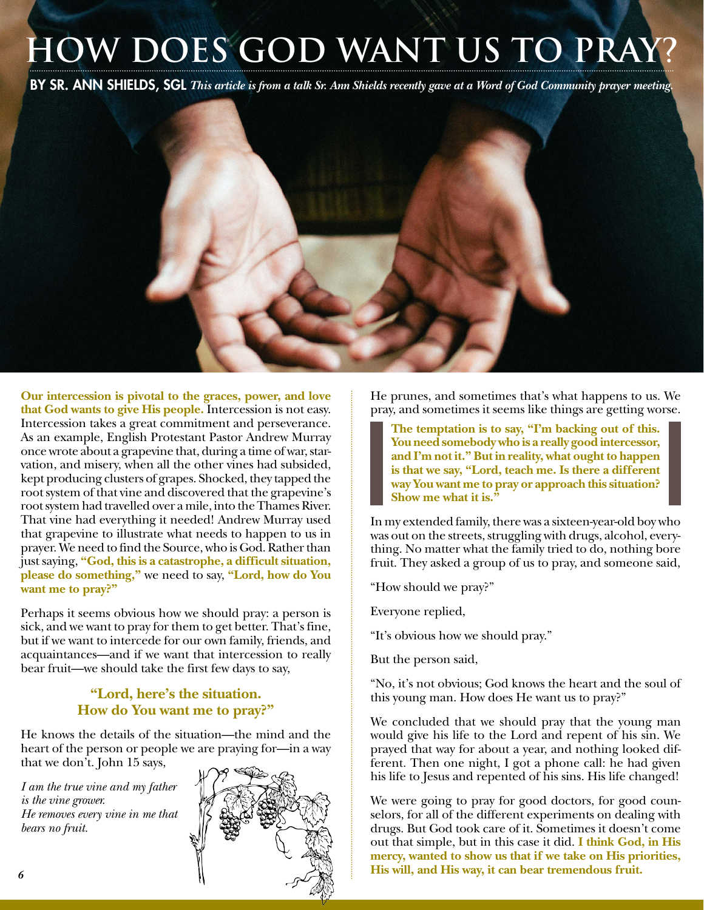# **HOW DOES GOD WANT US TO PRA**

BY SR. ANN SHIELDS, SGL *This article is from a talk Sr. Ann Shields recently gave at a Word of God Community prayer meeting.*

**Our intercession is pivotal to the graces, power, and love that God wants to give His people.** Intercession is not easy. Intercession takes a great commitment and perseverance. As an example, English Protestant Pastor Andrew Murray once wrote about a grapevine that, during a time of war, starvation, and misery, when all the other vines had subsided, kept producing clusters of grapes. Shocked, they tapped the root system of that vine and discovered that the grapevine's root system had travelled over a mile, into the Thames River. That vine had everything it needed! Andrew Murray used that grapevine to illustrate what needs to happen to us in prayer. We need to find the Source, who is God. Rather than just saying, **"God, this is a catastrophe, a difficult situation, please do something,"** we need to say, **"Lord, how do You want me to pray?"**

Perhaps it seems obvious how we should pray: a person is sick, and we want to pray for them to get better. That's fine, but if we want to intercede for our own family, friends, and acquaintances—and if we want that intercession to really bear fruit—we should take the first few days to say,

### **"Lord, here's the situation. How do You want me to pray?"**

He knows the details of the situation—the mind and the heart of the person or people we are praying for—in a way that we don't. John 15 says,

*I am the true vine and my father is the vine grower. He removes every vine in me that bears no fruit.*



He prunes, and sometimes that's what happens to us. We pray, and sometimes it seems like things are getting worse.

**The temptation is to say, "I'm backing out of this. You need somebody who is a really good intercessor, and I'm not it." But in reality, what ought to happen is that we say, "Lord, teach me. Is there a different way You want me to pray or approach this situation? Show me what it is."**

In my extended family, there was a sixteen-year-old boy who was out on the streets, struggling with drugs, alcohol, everything. No matter what the family tried to do, nothing bore fruit. They asked a group of us to pray, and someone said,

"How should we pray?"

Everyone replied,

"It's obvious how we should pray."

But the person said,

"No, it's not obvious; God knows the heart and the soul of this young man. How does He want us to pray?"

We concluded that we should pray that the young man would give his life to the Lord and repent of his sin. We prayed that way for about a year, and nothing looked different. Then one night, I got a phone call: he had given his life to Jesus and repented of his sins. His life changed!

We were going to pray for good doctors, for good counselors, for all of the different experiments on dealing with drugs. But God took care of it. Sometimes it doesn't come out that simple, but in this case it did. **I think God, in His mercy, wanted to show us that if we take on His priorities, His will, and His way, it can bear tremendous fruit.**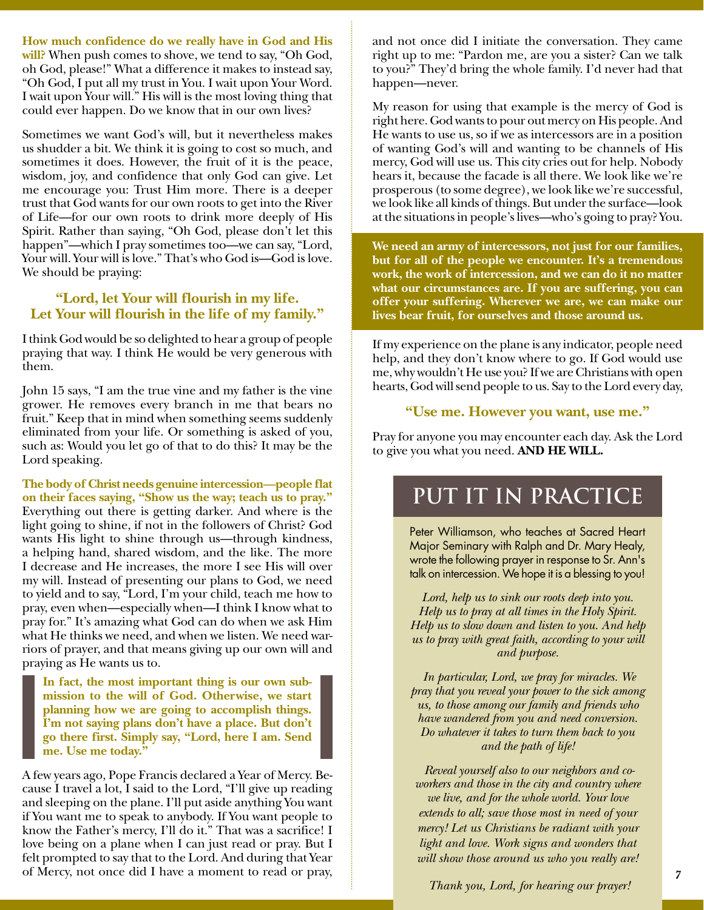**How much confidence do we really have in God and His will?** When push comes to shove, we tend to say, "Oh God, oh God, please!" What a difference it makes to instead say, "Oh God, I put all my trust in You. I wait upon Your Word. I wait upon Your will." His will is the most loving thing that could ever happen. Do we know that in our own lives?

Sometimes we want God's will, but it nevertheless makes us shudder a bit. We think it is going to cost so much, and sometimes it does. However, the fruit of it is the peace, wisdom, joy, and confidence that only God can give. Let me encourage you: Trust Him more. There is a deeper trust that God wants for our own roots to get into the River of Life—for our own roots to drink more deeply of His Spirit. Rather than saying, "Oh God, please don't let this happen"—which I pray sometimes too—we can say, "Lord, Your will. Your will is love." That's who God is—God is love. We should be praying:

### **"Lord, let Your will flourish in my life. Let Your will flourish in the life of my family."**

I think God would be so delighted to hear a group of people praying that way. I think He would be very generous with them.

John 15 says, "I am the true vine and my father is the vine grower. He removes every branch in me that bears no fruit." Keep that in mind when something seems suddenly eliminated from your life. Or something is asked of you, such as: Would you let go of that to do this? It may be the Lord speaking.

**The body of Christ needs genuine intercession—people flat on their faces saying, "Show us the way; teach us to pray."**  Everything out there is getting darker. And where is the light going to shine, if not in the followers of Christ? God wants His light to shine through us—through kindness, a helping hand, shared wisdom, and the like. The more I decrease and He increases, the more I see His will over my will. Instead of presenting our plans to God, we need to yield and to say, "Lord, I'm your child, teach me how to pray, even when—especially when—I think I know what to pray for." It's amazing what God can do when we ask Him what He thinks we need, and when we listen. We need warriors of prayer, and that means giving up our own will and praying as He wants us to.

**In fact, the most important thing is our own submission to the will of God. Otherwise, we start planning how we are going to accomplish things. I'm not saying plans don't have a place. But don't go there first. Simply say, "Lord, here I am. Send me. Use me today."**

A few years ago, Pope Francis declared a Year of Mercy. Because I travel a lot, I said to the Lord, "I'll give up reading and sleeping on the plane. I'll put aside anything You want if You want me to speak to anybody. If You want people to know the Father's mercy, I'll do it." That was a sacrifice! I love being on a plane when I can just read or pray. But I felt prompted to say that to the Lord. And during that Year of Mercy, not once did I have a moment to read or pray,

and not once did I initiate the conversation. They came right up to me: "Pardon me, are you a sister? Can we talk to you?" They'd bring the whole family. I'd never had that happen—never.

My reason for using that example is the mercy of God is right here. God wants to pour out mercy on His people. And He wants to use us, so if we as intercessors are in a position of wanting God's will and wanting to be channels of His mercy, God will use us. This city cries out for help. Nobody hears it, because the facade is all there. We look like we're prosperous (to some degree), we look like we're successful, we look like all kinds of things. But under the surface—look at the situations in people's lives—who's going to pray? You.

**We need an army of intercessors, not just for our families, but for all of the people we encounter. It's a tremendous work, the work of intercession, and we can do it no matter what our circumstances are. If you are suffering, you can offer your suffering. Wherever we are, we can make our lives bear fruit, for ourselves and those around us.**

If my experience on the plane is any indicator, people need help, and they don't know where to go. If God would use me, why wouldn't He use you? If we are Christians with open hearts, God will send people to us. Say to the Lord every day,

### **"Use me. However you want, use me."**

Pray for anyone you may encounter each day. Ask the Lord to give you what you need. **AND HE WILL.**

# **PUT IT IN PRACTICE**

Peter Williamson, who teaches at Sacred Heart Major Seminary with Ralph and Dr. Mary Healy, wrote the following prayer in response to Sr. Ann's talk on intercession. We hope it is a blessing to you!

*Lord, help us to sink our roots deep into you. Help us to pray at all times in the Holy Spirit. Help us to slow down and listen to you. And help us to pray with great faith, according to your will and purpose.*

 *In particular, Lord, we pray for miracles. We pray that you reveal your power to the sick among us, to those among our family and friends who have wandered from you and need conversion. Do whatever it takes to turn them back to you and the path of life!* 

 *Reveal yourself also to our neighbors and coworkers and those in the city and country where we live, and for the whole world. Your love extends to all; save those most in need of your mercy! Let us Christians be radiant with your light and love. Work signs and wonders that will show those around us who you really are!*

 *Thank you, Lord, for hearing our prayer!*